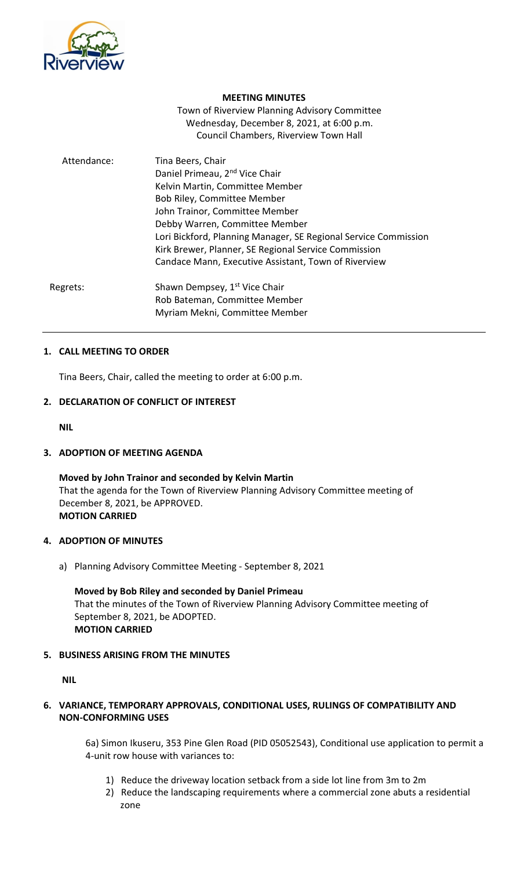

## **MEETING MINUTES**

Town of Riverview Planning Advisory Committee Wednesday, December 8, 2021, at 6:00 p.m. Council Chambers, Riverview Town Hall

| Attendance: | Tina Beers, Chair                                               |
|-------------|-----------------------------------------------------------------|
|             | Daniel Primeau, 2 <sup>nd</sup> Vice Chair                      |
|             | Kelvin Martin, Committee Member                                 |
|             | Bob Riley, Committee Member                                     |
|             | John Trainor, Committee Member                                  |
|             | Debby Warren, Committee Member                                  |
|             | Lori Bickford, Planning Manager, SE Regional Service Commission |
|             | Kirk Brewer, Planner, SE Regional Service Commission            |
|             | Candace Mann, Executive Assistant, Town of Riverview            |
| Regrets:    | Shawn Dempsey, 1 <sup>st</sup> Vice Chair                       |
|             | Rob Bateman, Committee Member                                   |
|             | Myriam Mekni, Committee Member                                  |

## **1. CALL MEETING TO ORDER**

Tina Beers, Chair, called the meeting to order at 6:00 p.m.

## **2. DECLARATION OF CONFLICT OF INTEREST**

**NIL**

# **3. ADOPTION OF MEETING AGENDA**

**Moved by John Trainor and seconded by Kelvin Martin** That the agenda for the Town of Riverview Planning Advisory Committee meeting of December 8, 2021, be APPROVED. **MOTION CARRIED**

### **4. ADOPTION OF MINUTES**

a) Planning Advisory Committee Meeting - September 8, 2021

**Moved by Bob Riley and seconded by Daniel Primeau** That the minutes of the Town of Riverview Planning Advisory Committee meeting of September 8, 2021, be ADOPTED. **MOTION CARRIED**

# **5. BUSINESS ARISING FROM THE MINUTES**

**NIL**

# **6. VARIANCE, TEMPORARY APPROVALS, CONDITIONAL USES, RULINGS OF COMPATIBILITY AND NON-CONFORMING USES**

6a) Simon Ikuseru, 353 Pine Glen Road (PID 05052543), Conditional use application to permit a 4-unit row house with variances to:

- 1) Reduce the driveway location setback from a side lot line from 3m to 2m
- 2) Reduce the landscaping requirements where a commercial zone abuts a residential zone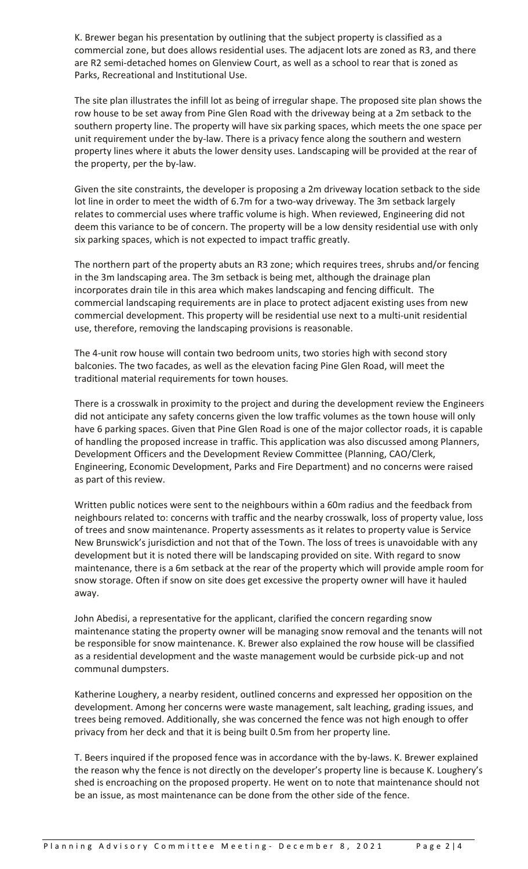K. Brewer began his presentation by outlining that the subject property is classified as a commercial zone, but does allows residential uses. The adjacent lots are zoned as R3, and there are R2 semi-detached homes on Glenview Court, as well as a school to rear that is zoned as Parks, Recreational and Institutional Use.

The site plan illustrates the infill lot as being of irregular shape. The proposed site plan shows the row house to be set away from Pine Glen Road with the driveway being at a 2m setback to the southern property line. The property will have six parking spaces, which meets the one space per unit requirement under the by-law. There is a privacy fence along the southern and western property lines where it abuts the lower density uses. Landscaping will be provided at the rear of the property, per the by-law.

Given the site constraints, the developer is proposing a 2m driveway location setback to the side lot line in order to meet the width of 6.7m for a two-way driveway. The 3m setback largely relates to commercial uses where traffic volume is high. When reviewed, Engineering did not deem this variance to be of concern. The property will be a low density residential use with only six parking spaces, which is not expected to impact traffic greatly.

The northern part of the property abuts an R3 zone; which requires trees, shrubs and/or fencing in the 3m landscaping area. The 3m setback is being met, although the drainage plan incorporates drain tile in this area which makes landscaping and fencing difficult. The commercial landscaping requirements are in place to protect adjacent existing uses from new commercial development. This property will be residential use next to a multi-unit residential use, therefore, removing the landscaping provisions is reasonable.

The 4-unit row house will contain two bedroom units, two stories high with second story balconies. The two facades, as well as the elevation facing Pine Glen Road, will meet the traditional material requirements for town houses.

There is a crosswalk in proximity to the project and during the development review the Engineers did not anticipate any safety concerns given the low traffic volumes as the town house will only have 6 parking spaces. Given that Pine Glen Road is one of the major collector roads, it is capable of handling the proposed increase in traffic. This application was also discussed among Planners, Development Officers and the Development Review Committee (Planning, CAO/Clerk, Engineering, Economic Development, Parks and Fire Department) and no concerns were raised as part of this review.

Written public notices were sent to the neighbours within a 60m radius and the feedback from neighbours related to: concerns with traffic and the nearby crosswalk, loss of property value, loss of trees and snow maintenance. Property assessments as it relates to property value is Service New Brunswick's jurisdiction and not that of the Town. The loss of trees is unavoidable with any development but it is noted there will be landscaping provided on site. With regard to snow maintenance, there is a 6m setback at the rear of the property which will provide ample room for snow storage. Often if snow on site does get excessive the property owner will have it hauled away.

John Abedisi, a representative for the applicant, clarified the concern regarding snow maintenance stating the property owner will be managing snow removal and the tenants will not be responsible for snow maintenance. K. Brewer also explained the row house will be classified as a residential development and the waste management would be curbside pick-up and not communal dumpsters.

Katherine Loughery, a nearby resident, outlined concerns and expressed her opposition on the development. Among her concerns were waste management, salt leaching, grading issues, and trees being removed. Additionally, she was concerned the fence was not high enough to offer privacy from her deck and that it is being built 0.5m from her property line.

T. Beers inquired if the proposed fence was in accordance with the by-laws. K. Brewer explained the reason why the fence is not directly on the developer's property line is because K. Loughery's shed is encroaching on the proposed property. He went on to note that maintenance should not be an issue, as most maintenance can be done from the other side of the fence.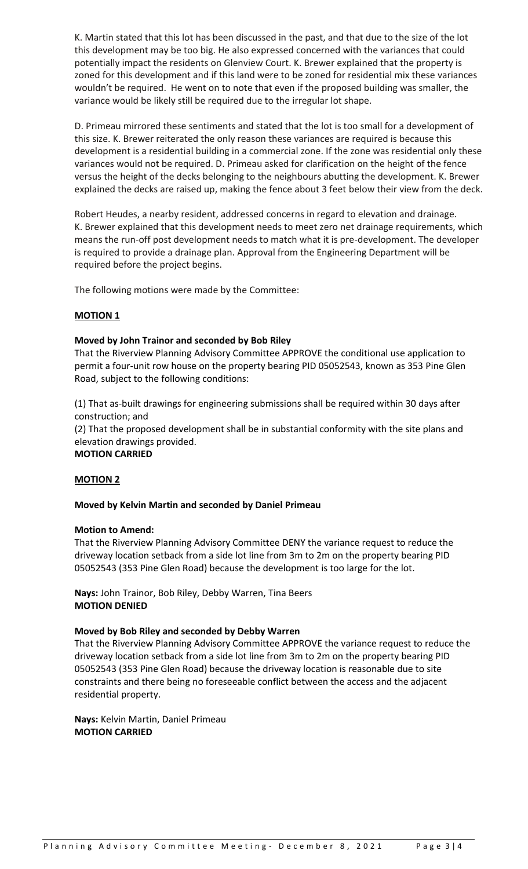K. Martin stated that this lot has been discussed in the past, and that due to the size of the lot this development may be too big. He also expressed concerned with the variances that could potentially impact the residents on Glenview Court. K. Brewer explained that the property is zoned for this development and if this land were to be zoned for residential mix these variances wouldn't be required. He went on to note that even if the proposed building was smaller, the variance would be likely still be required due to the irregular lot shape.

D. Primeau mirrored these sentiments and stated that the lot is too small for a development of this size. K. Brewer reiterated the only reason these variances are required is because this development is a residential building in a commercial zone. If the zone was residential only these variances would not be required. D. Primeau asked for clarification on the height of the fence versus the height of the decks belonging to the neighbours abutting the development. K. Brewer explained the decks are raised up, making the fence about 3 feet below their view from the deck.

Robert Heudes, a nearby resident, addressed concerns in regard to elevation and drainage. K. Brewer explained that this development needs to meet zero net drainage requirements, which means the run-off post development needs to match what it is pre-development. The developer is required to provide a drainage plan. Approval from the Engineering Department will be required before the project begins.

The following motions were made by the Committee:

# **MOTION 1**

# **Moved by John Trainor and seconded by Bob Riley**

That the Riverview Planning Advisory Committee APPROVE the conditional use application to permit a four-unit row house on the property bearing PID 05052543, known as 353 Pine Glen Road, subject to the following conditions:

(1) That as-built drawings for engineering submissions shall be required within 30 days after construction; and

(2) That the proposed development shall be in substantial conformity with the site plans and elevation drawings provided.

### **MOTION CARRIED**

# **MOTION 2**

# **Moved by Kelvin Martin and seconded by Daniel Primeau**

### **Motion to Amend:**

That the Riverview Planning Advisory Committee DENY the variance request to reduce the driveway location setback from a side lot line from 3m to 2m on the property bearing PID 05052543 (353 Pine Glen Road) because the development is too large for the lot.

**Nays:** John Trainor, Bob Riley, Debby Warren, Tina Beers **MOTION DENIED**

### **Moved by Bob Riley and seconded by Debby Warren**

That the Riverview Planning Advisory Committee APPROVE the variance request to reduce the driveway location setback from a side lot line from 3m to 2m on the property bearing PID 05052543 (353 Pine Glen Road) because the driveway location is reasonable due to site constraints and there being no foreseeable conflict between the access and the adjacent residential property.

**Nays:** Kelvin Martin, Daniel Primeau **MOTION CARRIED**